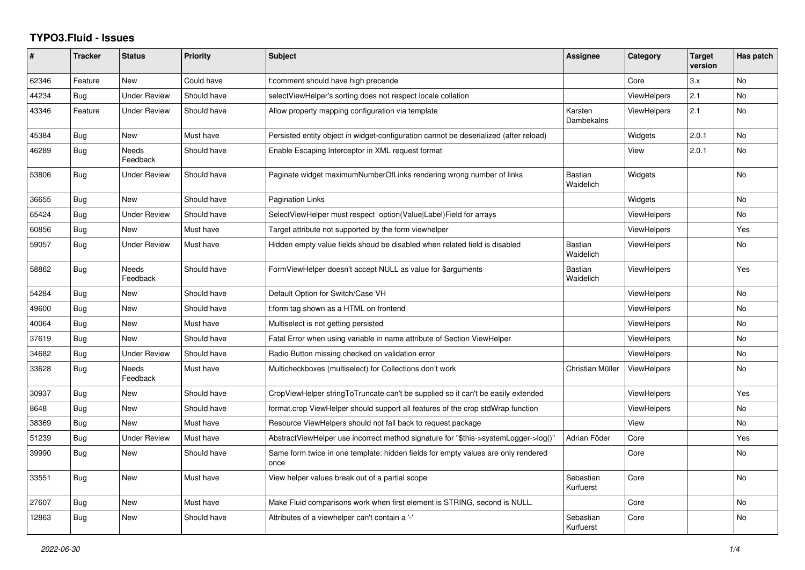## **TYPO3.Fluid - Issues**

| #     | <b>Tracker</b> | <b>Status</b>            | <b>Priority</b> | <b>Subject</b>                                                                            | <b>Assignee</b>             | Category           | <b>Target</b><br>version | Has patch      |
|-------|----------------|--------------------------|-----------------|-------------------------------------------------------------------------------------------|-----------------------------|--------------------|--------------------------|----------------|
| 62346 | Feature        | <b>New</b>               | Could have      | f:comment should have high precende                                                       |                             | Core               | 3.x                      | <b>No</b>      |
| 44234 | <b>Bug</b>     | Under Review             | Should have     | selectViewHelper's sorting does not respect locale collation                              |                             | <b>ViewHelpers</b> | 2.1                      | N <sub>o</sub> |
| 43346 | Feature        | <b>Under Review</b>      | Should have     | Allow property mapping configuration via template                                         | Karsten<br>Dambekalns       | <b>ViewHelpers</b> | 2.1                      | <b>No</b>      |
| 45384 | Bug            | New                      | Must have       | Persisted entity object in widget-configuration cannot be deserialized (after reload)     |                             | Widgets            | 2.0.1                    | <b>No</b>      |
| 46289 | Bug            | <b>Needs</b><br>Feedback | Should have     | Enable Escaping Interceptor in XML request format                                         |                             | View               | 2.0.1                    | <b>No</b>      |
| 53806 | Bug            | <b>Under Review</b>      | Should have     | Paginate widget maximumNumberOfLinks rendering wrong number of links                      | Bastian<br>Waidelich        | Widgets            |                          | <b>No</b>      |
| 36655 | Bug            | New                      | Should have     | Pagination Links                                                                          |                             | Widgets            |                          | No             |
| 65424 | Bug            | <b>Under Review</b>      | Should have     | SelectViewHelper must respect option(Value Label)Field for arrays                         |                             | <b>ViewHelpers</b> |                          | <b>No</b>      |
| 60856 | Bug            | <b>New</b>               | Must have       | Target attribute not supported by the form viewhelper                                     |                             | ViewHelpers        |                          | Yes            |
| 59057 | Bug            | <b>Under Review</b>      | Must have       | Hidden empty value fields shoud be disabled when related field is disabled                | <b>Bastian</b><br>Waidelich | <b>ViewHelpers</b> |                          | No             |
| 58862 | Bug            | <b>Needs</b><br>Feedback | Should have     | FormViewHelper doesn't accept NULL as value for \$arguments                               | Bastian<br>Waidelich        | <b>ViewHelpers</b> |                          | Yes            |
| 54284 | Bug            | <b>New</b>               | Should have     | Default Option for Switch/Case VH                                                         |                             | ViewHelpers        |                          | <b>No</b>      |
| 49600 | Bug            | New                      | Should have     | f:form tag shown as a HTML on frontend                                                    |                             | <b>ViewHelpers</b> |                          | <b>No</b>      |
| 40064 | Bug            | <b>New</b>               | Must have       | Multiselect is not getting persisted                                                      |                             | ViewHelpers        |                          | <b>No</b>      |
| 37619 | Bug            | <b>New</b>               | Should have     | Fatal Error when using variable in name attribute of Section ViewHelper                   |                             | ViewHelpers        |                          | <b>No</b>      |
| 34682 | Bug            | Under Review             | Should have     | Radio Button missing checked on validation error                                          |                             | <b>ViewHelpers</b> |                          | <b>No</b>      |
| 33628 | <b>Bug</b>     | <b>Needs</b><br>Feedback | Must have       | Multicheckboxes (multiselect) for Collections don't work                                  | Christian Müller            | ViewHelpers        |                          | <b>No</b>      |
| 30937 | Bug            | <b>New</b>               | Should have     | CropViewHelper stringToTruncate can't be supplied so it can't be easily extended          |                             | <b>ViewHelpers</b> |                          | Yes            |
| 8648  | Bug            | <b>New</b>               | Should have     | format.crop ViewHelper should support all features of the crop stdWrap function           |                             | <b>ViewHelpers</b> |                          | N <sub>o</sub> |
| 38369 | Bug            | New                      | Must have       | Resource ViewHelpers should not fall back to request package                              |                             | View               |                          | No             |
| 51239 | <b>Bug</b>     | <b>Under Review</b>      | Must have       | AbstractViewHelper use incorrect method signature for "\$this->systemLogger->log()"       | Adrian Föder                | Core               |                          | Yes            |
| 39990 | Bug            | New                      | Should have     | Same form twice in one template: hidden fields for empty values are only rendered<br>once |                             | Core               |                          | No             |
| 33551 | Bug            | New                      | Must have       | View helper values break out of a partial scope                                           | Sebastian<br>Kurfuerst      | Core               |                          | <b>No</b>      |
| 27607 | Bug            | New                      | Must have       | Make Fluid comparisons work when first element is STRING, second is NULL.                 |                             | Core               |                          | No             |
| 12863 | Bug            | <b>New</b>               | Should have     | Attributes of a viewhelper can't contain a '-'                                            | Sebastian<br>Kurfuerst      | Core               |                          | <b>No</b>      |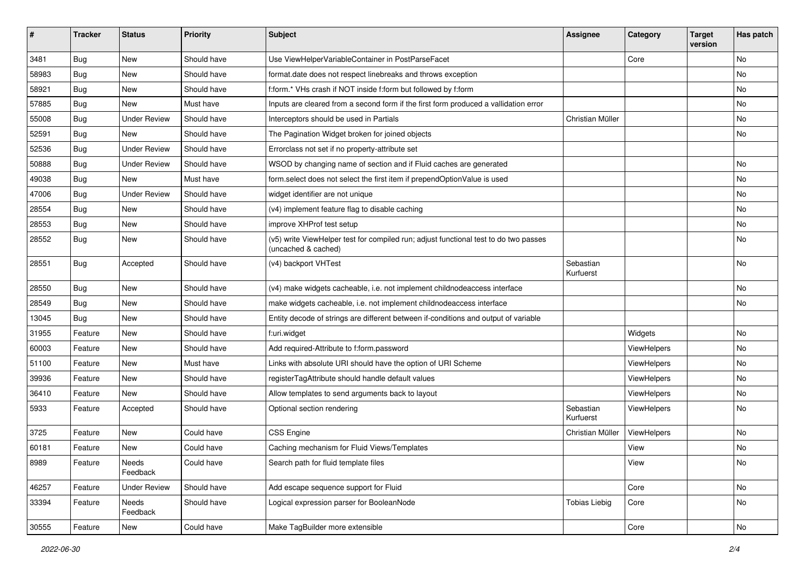| ∦     | <b>Tracker</b> | <b>Status</b>       | Priority    | Subject                                                                                                     | <b>Assignee</b>        | Category    | <b>Target</b><br>version | Has patch |
|-------|----------------|---------------------|-------------|-------------------------------------------------------------------------------------------------------------|------------------------|-------------|--------------------------|-----------|
| 3481  | Bug            | New                 | Should have | Use ViewHelperVariableContainer in PostParseFacet                                                           |                        | Core        |                          | <b>No</b> |
| 58983 | Bug            | New                 | Should have | format.date does not respect linebreaks and throws exception                                                |                        |             |                          | No        |
| 58921 | Bug            | New                 | Should have | f:form.* VHs crash if NOT inside f:form but followed by f:form                                              |                        |             |                          | No        |
| 57885 | Bug            | <b>New</b>          | Must have   | Inputs are cleared from a second form if the first form produced a vallidation error                        |                        |             |                          | <b>No</b> |
| 55008 | Bug            | <b>Under Review</b> | Should have | Interceptors should be used in Partials                                                                     | Christian Müller       |             |                          | No        |
| 52591 | Bug            | <b>New</b>          | Should have | The Pagination Widget broken for joined objects                                                             |                        |             |                          | No        |
| 52536 | Bug            | <b>Under Review</b> | Should have | Errorclass not set if no property-attribute set                                                             |                        |             |                          |           |
| 50888 | Bug            | <b>Under Review</b> | Should have | WSOD by changing name of section and if Fluid caches are generated                                          |                        |             |                          | <b>No</b> |
| 49038 | Bug            | <b>New</b>          | Must have   | form.select does not select the first item if prependOptionValue is used                                    |                        |             |                          | No        |
| 47006 | Bug            | <b>Under Review</b> | Should have | widget identifier are not unique                                                                            |                        |             |                          | No        |
| 28554 | Bug            | New                 | Should have | (v4) implement feature flag to disable caching                                                              |                        |             |                          | No        |
| 28553 | Bug            | New                 | Should have | improve XHProf test setup                                                                                   |                        |             |                          | No        |
| 28552 | <b>Bug</b>     | New                 | Should have | (v5) write ViewHelper test for compiled run; adjust functional test to do two passes<br>(uncached & cached) |                        |             |                          | <b>No</b> |
| 28551 | Bug            | Accepted            | Should have | (v4) backport VHTest                                                                                        | Sebastian<br>Kurfuerst |             |                          | <b>No</b> |
| 28550 | Bug            | New                 | Should have | (v4) make widgets cacheable, i.e. not implement childnodeaccess interface                                   |                        |             |                          | No        |
| 28549 | Bug            | New                 | Should have | make widgets cacheable, i.e. not implement childnodeaccess interface                                        |                        |             |                          | No        |
| 13045 | Bug            | New                 | Should have | Entity decode of strings are different between if-conditions and output of variable                         |                        |             |                          |           |
| 31955 | Feature        | New                 | Should have | f:uri.widget                                                                                                |                        | Widgets     |                          | No        |
| 60003 | Feature        | New                 | Should have | Add required-Attribute to f:form.password                                                                   |                        | ViewHelpers |                          | No        |
| 51100 | Feature        | New                 | Must have   | Links with absolute URI should have the option of URI Scheme                                                |                        | ViewHelpers |                          | No        |
| 39936 | Feature        | New                 | Should have | registerTagAttribute should handle default values                                                           |                        | ViewHelpers |                          | No        |
| 36410 | Feature        | New                 | Should have | Allow templates to send arguments back to layout                                                            |                        | ViewHelpers |                          | No        |
| 5933  | Feature        | Accepted            | Should have | Optional section rendering                                                                                  | Sebastian<br>Kurfuerst | ViewHelpers |                          | <b>No</b> |
| 3725  | Feature        | <b>New</b>          | Could have  | <b>CSS Engine</b>                                                                                           | Christian Müller       | ViewHelpers |                          | <b>No</b> |
| 60181 | Feature        | New                 | Could have  | Caching mechanism for Fluid Views/Templates                                                                 |                        | View        |                          | No        |
| 8989  | Feature        | Needs<br>Feedback   | Could have  | Search path for fluid template files                                                                        |                        | View        |                          | No        |
| 46257 | Feature        | <b>Under Review</b> | Should have | Add escape sequence support for Fluid                                                                       |                        | Core        |                          | No        |
| 33394 | Feature        | Needs<br>Feedback   | Should have | Logical expression parser for BooleanNode                                                                   | <b>Tobias Liebig</b>   | Core        |                          | No        |
| 30555 | Feature        | New                 | Could have  | Make TagBuilder more extensible                                                                             |                        | Core        |                          | No        |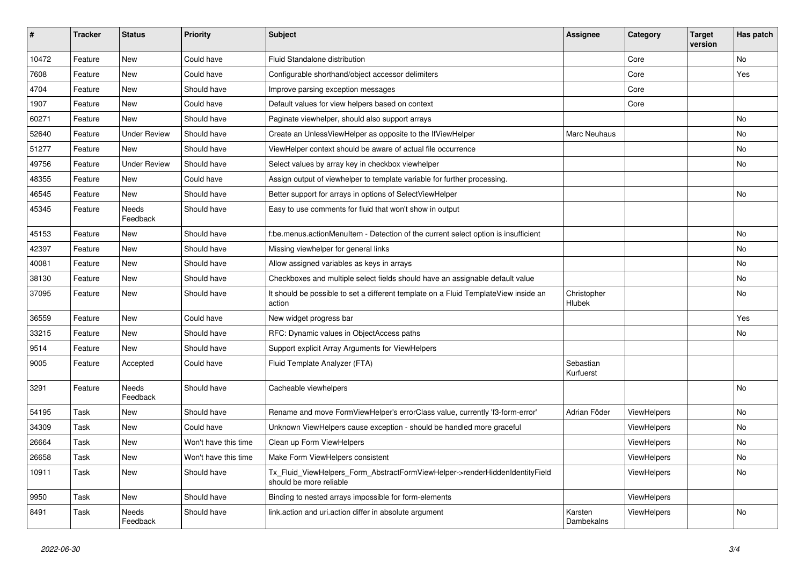| #     | <b>Tracker</b> | <b>Status</b>            | <b>Priority</b>      | <b>Subject</b>                                                                                         | <b>Assignee</b>        | Category           | <b>Target</b><br>version | Has patch |
|-------|----------------|--------------------------|----------------------|--------------------------------------------------------------------------------------------------------|------------------------|--------------------|--------------------------|-----------|
| 10472 | Feature        | New                      | Could have           | Fluid Standalone distribution                                                                          |                        | Core               |                          | No        |
| 7608  | Feature        | New                      | Could have           | Configurable shorthand/object accessor delimiters                                                      |                        | Core               |                          | Yes       |
| 4704  | Feature        | New                      | Should have          | Improve parsing exception messages                                                                     |                        | Core               |                          |           |
| 1907  | Feature        | New                      | Could have           | Default values for view helpers based on context                                                       |                        | Core               |                          |           |
| 60271 | Feature        | New                      | Should have          | Paginate viewhelper, should also support arrays                                                        |                        |                    |                          | No        |
| 52640 | Feature        | <b>Under Review</b>      | Should have          | Create an UnlessViewHelper as opposite to the IfViewHelper                                             | Marc Neuhaus           |                    |                          | <b>No</b> |
| 51277 | Feature        | New                      | Should have          | ViewHelper context should be aware of actual file occurrence                                           |                        |                    |                          | No        |
| 49756 | Feature        | <b>Under Review</b>      | Should have          | Select values by array key in checkbox viewhelper                                                      |                        |                    |                          | No        |
| 48355 | Feature        | <b>New</b>               | Could have           | Assign output of viewhelper to template variable for further processing.                               |                        |                    |                          |           |
| 46545 | Feature        | New                      | Should have          | Better support for arrays in options of SelectViewHelper                                               |                        |                    |                          | No        |
| 45345 | Feature        | Needs<br>Feedback        | Should have          | Easy to use comments for fluid that won't show in output                                               |                        |                    |                          |           |
| 45153 | Feature        | <b>New</b>               | Should have          | f:be.menus.actionMenuItem - Detection of the current select option is insufficient                     |                        |                    |                          | <b>No</b> |
| 42397 | Feature        | <b>New</b>               | Should have          | Missing viewhelper for general links                                                                   |                        |                    |                          | No        |
| 40081 | Feature        | New                      | Should have          | Allow assigned variables as keys in arrays                                                             |                        |                    |                          | No        |
| 38130 | Feature        | New                      | Should have          | Checkboxes and multiple select fields should have an assignable default value                          |                        |                    |                          | No        |
| 37095 | Feature        | New                      | Should have          | It should be possible to set a different template on a Fluid TemplateView inside an<br>action          | Christopher<br>Hlubek  |                    |                          | No        |
| 36559 | Feature        | New                      | Could have           | New widget progress bar                                                                                |                        |                    |                          | Yes       |
| 33215 | Feature        | <b>New</b>               | Should have          | RFC: Dynamic values in ObjectAccess paths                                                              |                        |                    |                          | No        |
| 9514  | Feature        | <b>New</b>               | Should have          | Support explicit Array Arguments for ViewHelpers                                                       |                        |                    |                          |           |
| 9005  | Feature        | Accepted                 | Could have           | Fluid Template Analyzer (FTA)                                                                          | Sebastian<br>Kurfuerst |                    |                          |           |
| 3291  | Feature        | <b>Needs</b><br>Feedback | Should have          | Cacheable viewhelpers                                                                                  |                        |                    |                          | No        |
| 54195 | Task           | <b>New</b>               | Should have          | Rename and move FormViewHelper's errorClass value, currently 'f3-form-error'                           | Adrian Föder           | ViewHelpers        |                          | No        |
| 34309 | Task           | <b>New</b>               | Could have           | Unknown ViewHelpers cause exception - should be handled more graceful                                  |                        | <b>ViewHelpers</b> |                          | <b>No</b> |
| 26664 | Task           | New                      | Won't have this time | Clean up Form ViewHelpers                                                                              |                        | <b>ViewHelpers</b> |                          | No        |
| 26658 | Task           | New                      | Won't have this time | Make Form ViewHelpers consistent                                                                       |                        | <b>ViewHelpers</b> |                          | No        |
| 10911 | Task           | New                      | Should have          | Tx_Fluid_ViewHelpers_Form_AbstractFormViewHelper->renderHiddenIdentityField<br>should be more reliable |                        | ViewHelpers        |                          | No        |
| 9950  | Task           | <b>New</b>               | Should have          | Binding to nested arrays impossible for form-elements                                                  |                        | ViewHelpers        |                          |           |
| 8491  | Task           | <b>Needs</b><br>Feedback | Should have          | link.action and uri.action differ in absolute argument                                                 | Karsten<br>Dambekalns  | ViewHelpers        |                          | No        |